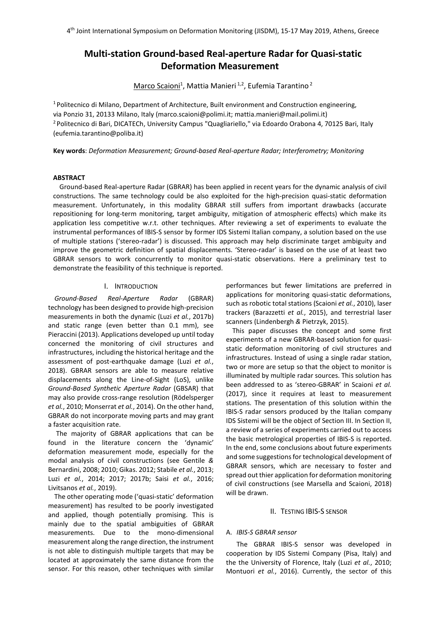# **Multi-station Ground-based Real-aperture Radar for Quasi-static Deformation Measurement**

Marco Scaioni<sup>1</sup>, Mattia Manieri <sup>1,2</sup>, Eufemia Tarantino <sup>2</sup>

<sup>1</sup> Politecnico di Milano, Department of Architecture, Built environment and Construction engineering, via Ponzio 31, 20133 Milano, Italy (marco.scaioni@polimi.it; mattia.manieri@mail.polimi.it) 2 Politecnico di Bari, DICATECh, University Campus "Quagliariello," via Edoardo Orabona 4, 70125 Bari, Italy (eufemia.tarantino@poliba.it)

**Key words**: *Deformation Measurement; Ground-based Real-aperture Radar; Interferometry; Monitoring*

#### **ABSTRACT**

Ground-based Real-aperture Radar (GBRAR) has been applied in recent years for the dynamic analysis of civil constructions. The same technology could be also exploited for the high-precision quasi-static deformation measurement. Unfortunately, in this modality GBRAR still suffers from important drawbacks (accurate repositioning for long-term monitoring, target ambiguity, mitigation of atmospheric effects) which make its application less competitive w.r.t. other techniques. After reviewing a set of experiments to evaluate the instrumental performances of IBIS-S sensor by former IDS Sistemi Italian company, a solution based on the use of multiple stations ('stereo-radar') is discussed. This approach may help discriminate target ambiguity and improve the geometric definition of spatial displacements. 'Stereo-radar' is based on the use of at least two GBRAR sensors to work concurrently to monitor quasi-static observations. Here a preliminary test to demonstrate the feasibility of this technique is reported.

## I. INTRODUCTION

*Ground-Based Real-Aperture Radar* (GBRAR) technology has been designed to provide high-precision measurements in both the dynamic (Luzi *et al.*, 2017b) and static range (even better than 0.1 mm), see Pieraccini (2013). Applications developed up until today concerned the monitoring of civil structures and infrastructures, including the historical heritage and the assessment of post-earthquake damage (Luzi *et al.*, 2018). GBRAR sensors are able to measure relative displacements along the Line-of-Sight (LoS), unlike *Ground-Based Synthetic Aperture Radar* (GBSAR) that may also provide cross-range resolution (Rödelsperger *et al.*, 2010; Monserrat *et al.*, 2014). On the other hand, GBRAR do not incorporate moving parts and may grant a faster acquisition rate.

The majority of GBRAR applications that can be found in the literature concern the 'dynamic' deformation measurement mode, especially for the modal analysis of civil constructions (see Gentile *&*  Bernardini, 2008; 2010; Gikas. 2012; Stabile *et al.*, 2013; Luzi *et al.*, 2014; 2017; 2017b; Saisi *et al.*, 2016; Livitsanos *et al.*, 2019).

The other operating mode ('quasi-static' deformation measurement) has resulted to be poorly investigated and applied, though potentially promising. This is mainly due to the spatial ambiguities of GBRAR measurements. Due to the mono-dimensional measurement along the range direction, the instrument is not able to distinguish multiple targets that may be located at approximately the same distance from the sensor. For this reason, other techniques with similar performances but fewer limitations are preferred in applications for monitoring quasi-static deformations, such as robotic total stations (Scaioni *et al.*, 2010), laser trackers (Barazzetti *et al.*, 2015), and terrestrial laser scanners (Lindenbergh *&* Pietrzyk, 2015).

This paper discusses the concept and some first experiments of a new GBRAR-based solution for quasistatic deformation monitoring of civil structures and infrastructures. Instead of using a single radar station, two or more are setup so that the object to monitor is illuminated by multiple radar sources. This solution has been addressed to as 'stereo-GBRAR' in Scaioni *et al.* (2017), since it requires at least to measurement stations. The presentation of this solution within the IBIS-S radar sensors produced by the Italian company IDS Sistemi will be the object of Section III. In Section II, a review of a series of experiments carried out to access the basic metrological properties of IBIS-S is reported. In the end, some conclusions about future experiments and some suggestions for technological development of GBRAR sensors, which are necessary to foster and spread out thier application for deformation monitoring of civil constructions (see Marsella and Scaioni, 2018) will be drawn.

#### II. TESTING IBIS-S SENSOR

## A. *IBIS-S GBRAR sensor*

The GBRAR IBIS-S sensor was developed in cooperation by IDS Sistemi Company (Pisa, Italy) and the the University of Florence, Italy (Luzi *et al.*, 2010; Montuori *et al.*, 2016). Currently, the sector of this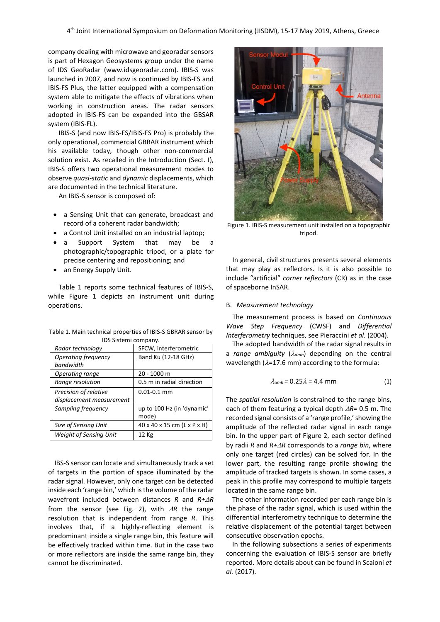company dealing with microwave and georadar sensors is part of Hexagon Geosystems group under the name of IDS GeoRadar (www.idsgeoradar.com). IBIS-S was launched in 2007, and now is continued by IBIS-FS and IBIS-FS Plus, the latter equipped with a compensation system able to mitigate the effects of vibrations when working in construction areas. The radar sensors adopted in IBIS-FS can be expanded into the GBSAR system (IBIS-FL).

IBIS-S (and now IBIS-FS/IBIS-FS Pro) is probably the only operational, commercial GBRAR instrument which his available today, though other non-commercial solution exist. As recalled in the Introduction (Sect. I), IBIS-S offers two operational measurement modes to observe *quasi-static* and *dynamic* displacements, which are documented in the technical literature.

An IBIS-S sensor is composed of:

- a Sensing Unit that can generate, broadcast and record of a coherent radar bandwidth;
- a Control Unit installed on an industrial laptop;
- a Support System that may be a photographic/topographic tripod, or a plate for precise centering and repositioning; and
- an Energy Supply Unit.

Table 1 reports some technical features of IBIS-S, while Figure 1 depicts an instrument unit during operations.

| Table 1. Main technical properties of IBIS-S GBRAR sensor by |  |
|--------------------------------------------------------------|--|
| IDS Sistemi company.                                         |  |

| Radar technology              | SFCW, interferometric       |  |
|-------------------------------|-----------------------------|--|
| Operating frequency           | Band Ku (12-18 GHz)         |  |
| bandwidth                     |                             |  |
| Operating range               | 20 - 1000 m                 |  |
| Range resolution              | 0.5 m in radial direction   |  |
| Precision of relative         | $0.01 - 0.1$ mm             |  |
| displacement measurement      |                             |  |
| Sampling frequency            | up to 100 Hz (in 'dynamic'  |  |
|                               | mode)                       |  |
| Size of Sensing Unit          | 40 x 40 x 15 cm (L x P x H) |  |
| <b>Weight of Sensing Unit</b> | 12 Kg                       |  |

IBS-S sensor can locate and simultaneously track a set of targets in the portion of space illuminated by the radar signal. However, only one target can be detected inside each 'range bin,' which is the volume of the radar wavefront included between distances *R* and *R+*∆*R* from the sensor (see Fig. 2), with ∆*R* the range resolution that is independent from range *R*. This involves that, if a highly-reflecting element is predominant inside a single range bin, this feature will be effectively tracked within time. But in the case two or more reflectors are inside the same range bin, they cannot be discriminated.



Figure 1. IBIS-S measurement unit installed on a topographic tripod.

In general, civil structures presents several elements that may play as reflectors. Is it is also possible to include "artificial" *corner reflectors* (CR) as in the case of spaceborne InSAR.

#### B. *Measurement technology*

The measurement process is based on *Continuous Wave Step Frequency* (CWSF) and *Differential Interferometry* techniques, see Pieraccini *et al.* (2004).

The adopted bandwidth of the radar signal results in a *range ambiguity* (λ*amb*) depending on the central wavelength ( $\lambda$ =17.6 mm) according to the formula:

$$
\lambda_{amb} = 0.25 \lambda = 4.4 \text{ mm} \tag{1}
$$

The *spatial resolution* is constrained to the range bins, each of them featuring a typical depth ∆*R*= 0.5 m. The recorded signal consists of a 'range profile,' showing the amplitude of the reflected radar signal in each range bin. In the upper part of Figure 2, each sector defined by radii *R* and *R+*∆*R* corresponds to a *range bin*, where only one target (red circles) can be solved for. In the lower part, the resulting range profile showing the amplitude of tracked targets is shown. In some cases, a peak in this profile may correspond to multiple targets located in the same range bin.

The other information recorded per each range bin is the phase of the radar signal, which is used within the differential interferometry technique to determine the relative displacement of the potential target between consecutive observation epochs.

In the following subsections a series of experiments concerning the evaluation of IBIS-S sensor are briefly reported. More details about can be found in Scaioni *et al.* (2017).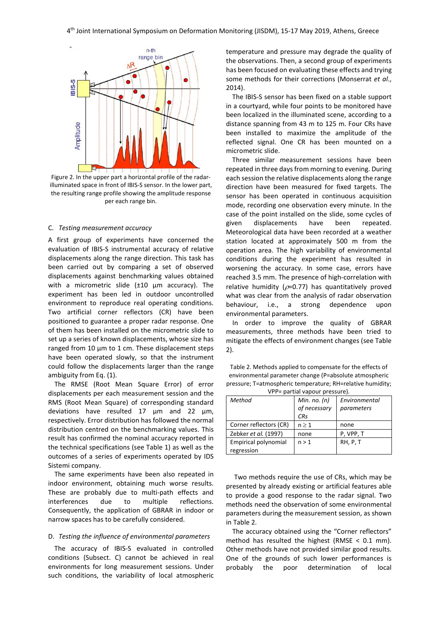

Figure 2. In the upper part a horizontal profile of the radarilluminated space in front of IBIS-S sensor. In the lower part, the resulting range profile showing the amplitude response per each range bin.

#### C. *Testing measurement accuracy*

A first group of experiments have concerned the evaluation of IBIS-S instrumental accuracy of relative displacements along the range direction. This task has been carried out by comparing a set of observed displacements against benchmarking values obtained with a micrometric slide (±10 µm accuracy). The experiment has been led in outdoor uncontrolled environment to reproduce real operating conditions. Two artificial corner reflectors (CR) have been positioned to guarantee a proper radar response. One of them has been installed on the micrometric slide to set up a series of known displacements, whose size has ranged from 10 µm to 1 cm. These displacement steps have been operated slowly, so that the instrument could follow the displacements larger than the range ambiguity from Eq. (1).

The RMSE (Root Mean Square Error) of error displacements per each measurement session and the RMS (Root Mean Square) of corresponding standard deviations have resulted 17 µm and 22 µm, respectively. Error distribution has followed the normal distribution centred on the benchmarking values. This result has confirmed the nominal accuracy reported in the technical specifications (see Table 1) as well as the outcomes of a series of experiments operated by IDS Sistemi company.

The same experiments have been also repeated in indoor environment, obtaining much worse results. These are probably due to multi-path effects and interferences due to multiple reflections. Consequently, the application of GBRAR in indoor or narrow spaces has to be carefully considered.

#### D. *Testing the influence of environmental parameters*

The accuracy of IBIS-S evaluated in controlled conditions (Subsect. C) cannot be achieved in real environments for long measurement sessions. Under such conditions, the variability of local atmospheric

temperature and pressure may degrade the quality of the observations. Then, a second group of experiments has been focused on evaluating these effects and trying some methods for their corrections (Monserrat *et al*., 2014).

The IBIS-S sensor has been fixed on a stable support in a courtyard, while four points to be monitored have been localized in the illuminated scene, according to a distance spanning from 43 m to 125 m. Four CRs have been installed to maximize the amplitude of the reflected signal. One CR has been mounted on a micrometric slide.

Three similar measurement sessions have been repeated in three days from morning to evening. During each session the relative displacements along the range direction have been measured for fixed targets. The sensor has been operated in continuous acquisition mode, recording one observation every minute. In the case of the point installed on the slide, some cycles of given displacements have been repeated. Meteorological data have been recorded at a weather station located at approximately 500 m from the operation area. The high variability of environmental conditions during the experiment has resulted in worsening the accuracy. In some case, errors have reached 3.5 mm. The presence of high-correlation with relative humidity ( $\rho$ =0.77) has quantitatively proved what was clear from the analysis of radar observation behaviour, i.e., a strong dependence upon environmental parameters.

In order to improve the quality of GBRAR measurements, three methods have been tried to mitigate the effects of environment changes (see Table 2).

Table 2. Methods applied to compensate for the effects of environmental parameter change (P=absolute atmospheric pressure; T=atmospheric temperature; RH=relative humidity; VPP= partial vapour pressure).

| $\mathbf{v}$ $\mathbf{r}$ $\mathbf{r}$ $\mathbf{r}$ $\mathbf{v}$ $\mathbf{v}$ $\mathbf{v}$ $\mathbf{v}$ $\mathbf{v}$ $\mathbf{v}$ $\mathbf{v}$ $\mathbf{v}$ $\mathbf{v}$ $\mathbf{v}$ $\mathbf{v}$ $\mathbf{v}$ $\mathbf{v}$ $\mathbf{v}$ $\mathbf{v}$ $\mathbf{v}$ $\mathbf{v}$ $\mathbf{v}$ $\mathbf{v}$ $\mathbf{v}$ $\mathbf{$ |                |               |  |  |
|------------------------------------------------------------------------------------------------------------------------------------------------------------------------------------------------------------------------------------------------------------------------------------------------------------------------------------|----------------|---------------|--|--|
| Method                                                                                                                                                                                                                                                                                                                             | Min. no. $(n)$ | Environmental |  |  |
|                                                                                                                                                                                                                                                                                                                                    | of necessary   | parameters    |  |  |
|                                                                                                                                                                                                                                                                                                                                    | <b>CRs</b>     |               |  |  |
| Corner reflectors (CR)                                                                                                                                                                                                                                                                                                             | $n \geq 1$     | none          |  |  |
| Zebker et al. (1997)                                                                                                                                                                                                                                                                                                               | none           | P, VPP, T     |  |  |
| Empirical polynomial                                                                                                                                                                                                                                                                                                               | n > 1          | RH, P, T      |  |  |
| regression                                                                                                                                                                                                                                                                                                                         |                |               |  |  |

Two methods require the use of CRs, which may be presented by already existing or artificial features able to provide a good response to the radar signal. Two methods need the observation of some environmental parameters during the measurement session, as shown in Table 2.

The accuracy obtained using the "Corner reflectors" method has resulted the highest (RMSE < 0.1 mm). Other methods have not provided similar good results. One of the grounds of such lower performances is probably the poor determination of local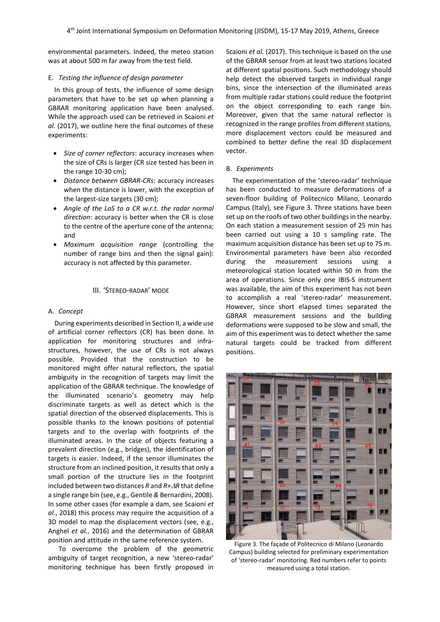environmental parameters. Indeed, the meteo station was at about 500 m far away from the test field.

#### E. *Testing the influence of design parameter*

In this group of tests, the influence of some design parameters that have to be set up when planning a GBRAR monitoring application have been analysed. While the approach used can be retrieved in Scaioni *et al.* (2017), we outline here the final outcomes of these experiments:

- *Size of corner reflectors*: accuracy increases when the size of CRs is larger (CR size tested has been in the range 10-30 cm);
- *Distance between GBRAR-CRs*: accuracy increases when the distance is lower, with the exception of the largest-size targets (30 cm);
- *Angle of the LoS to a CR w.r.t. the radar normal direction*: accuracy is better when the CR is close to the centre of the aperture cone of the antenna; and
- *Maximum acquisition range* (controlling the number of range bins and then the signal gain): accuracy is not affected by this parameter.

# III. 'STEREO-RADAR' MODE

#### A. *Concept*

During experiments described in Section II, a wide use of artificial corner reflectors (CR) has been done. In application for monitoring structures and infrastructures, however, the use of CRs is not always possible. Provided that the construction to be monitored might offer natural reflectors, the spatial ambiguity in the recognition of targets may limit the application of the GBRAR technique. The knowledge of the illuminated scenario's geometry may help discriminate targets as well as detect which is the spatial direction of the observed displacements. This is possible thanks to the known positions of potential targets and to the overlap with footprints of the illuminated areas. In the case of objects featuring a prevalent direction (e.g., bridges), the identification of targets is easier. Indeed, if the sensor illuminates the structure from an inclined position, it results that only a small portion of the structure lies in the footprint included between two distances *R* and *R+*∆*R* that define a single range bin (see, e.g., Gentile *&* Bernardini, 2008). In some other cases (for example a dam, see Scaioni *et al.*, 2018) this process may require the acquisition of a 3D model to map the displacement vectors (see, e.g., Anghel *et al.*, 2016) and the determination of GBRAR position and attitude in the same reference system.

To overcome the problem of the geometric ambiguity of target recognition, a new 'stereo-radar' monitoring technique has been firstly proposed in Scaioni *et al.* (2017). This technique is based on the use of the GBRAR sensor from at least two stations located at different spatial positions. Such methodology should help detect the observed targets in individual range bins, since the intersection of the illuminated areas from multiple radar stations could reduce the footprint on the object corresponding to each range bin. Moreover, given that the same natural reflector is recognized in the range profiles from different stations, more displacement vectors could be measured and combined to better define the real 3D displacement vector.

#### B. *Experiments*

The experimentation of the 'stereo-radar' technique has been conducted to measure deformations of a seven-floor building of Politecnico Milano, Leonardo Campus (Italy), see Figure 3. Three stations have been set up on the roofs of two other buildings in the nearby. On each station a measurement session of 25 min has been carried out using a 10 s sampling rate. The maximum acquisition distance has been set up to 75 m. Environmental parameters have been also recorded during the measurement sessions using a meteorological station located within 50 m from the area of operations. Since only one IBIS-S instrument was available, the aim of this experiment has not been to accomplish a real 'stereo-radar' measurement. However, since short elapsed times separated the GBRAR measurement sessions and the building deformations were supposed to be slow and small, the aim of this experiment was to detect whether the same natural targets could be tracked from different positions.



Figure 3. The façade of Politecnico di Milano (Leonardo Campus) building selected for preliminary experimentation of 'stereo-radar' monitoring. Red numbers refer to points measured using a total station.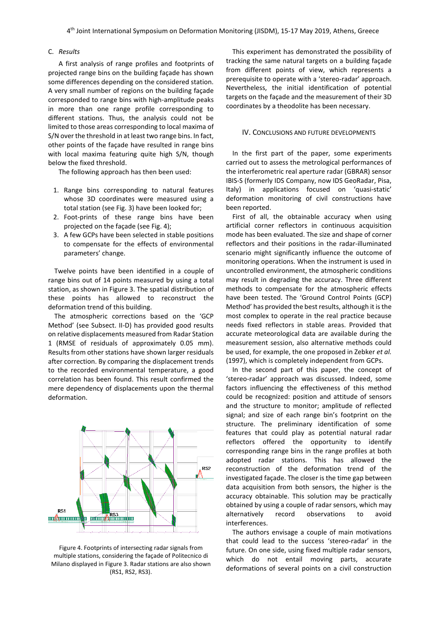#### C. *Results*

A first analysis of range profiles and footprints of projected range bins on the building façade has shown some differences depending on the considered station. A very small number of regions on the building façade corresponded to range bins with high-amplitude peaks in more than one range profile corresponding to different stations. Thus, the analysis could not be limited to those areas corresponding to local maxima of S/N over the threshold in at least two range bins. In fact, other points of the façade have resulted in range bins with local maxima featuring quite high S/N, though below the fixed threshold.

The following approach has then been used:

- 1. Range bins corresponding to natural features whose 3D coordinates were measured using a total station (see Fig. 3) have been looked for;
- 2. Foot-prints of these range bins have been projected on the façade (see Fig. 4);
- 3. A few GCPs have been selected in stable positions to compensate for the effects of environmental parameters' change.

Twelve points have been identified in a couple of range bins out of 14 points measured by using a total station, as shown in Figure 3. The spatial distribution of these points has allowed to reconstruct the deformation trend of this building.

The atmospheric corrections based on the 'GCP Method' (see Subsect. II-D) has provided good results on relative displacements measured from Radar Station 1 (RMSE of residuals of approximately 0.05 mm). Results from other stations have shown larger residuals after correction. By comparing the displacement trends to the recorded environmental temperature, a good correlation has been found. This result confirmed the mere dependency of displacements upon the thermal deformation.



Figure 4. Footprints of intersecting radar signals from multiple stations, considering the façade of Politecnico di Milano displayed in Figure 3. Radar stations are also shown (RS1, RS2, RS3).

This experiment has demonstrated the possibility of tracking the same natural targets on a building façade from different points of view, which represents a prerequisite to operate with a 'stereo-radar' approach. Nevertheless, the initial identification of potential targets on the façade and the measurement of their 3D coordinates by a theodolite has been necessary.

# IV. CONCLUSIONS AND FUTURE DEVELOPMENTS

In the first part of the paper, some experiments carried out to assess the metrological performances of the interferometric real aperture radar (GBRAR) sensor IBIS-S (formerly IDS Company, now IDS GeoRadar, Pisa, Italy) in applications focused on 'quasi-static' deformation monitoring of civil constructions have been reported.

First of all, the obtainable accuracy when using artificial corner reflectors in continuous acquisition mode has been evaluated. The size and shape of corner reflectors and their positions in the radar-illuminated scenario might significantly influence the outcome of monitoring operations. When the instrument is used in uncontrolled environment, the atmospheric conditions may result in degrading the accuracy. Three different methods to compensate for the atmospheric effects have been tested. The 'Ground Control Points (GCP) Method' has provided the best results, although it is the most complex to operate in the real practice because needs fixed reflectors in stable areas. Provided that accurate meteorological data are available during the measurement session, also alternative methods could be used, for example, the one proposed in Zebker *et al.* (1997), which is completely independent from GCPs.

In the second part of this paper, the concept of 'stereo-radar' approach was discussed. Indeed, some factors influencing the effectiveness of this method could be recognized: position and attitude of sensors and the structure to monitor; amplitude of reflected signal; and size of each range bin's footprint on the structure. The preliminary identification of some features that could play as potential natural radar reflectors offered the opportunity to identify corresponding range bins in the range profiles at both adopted radar stations. This has allowed the reconstruction of the deformation trend of the investigated façade. The closer is the time gap between data acquisition from both sensors, the higher is the accuracy obtainable. This solution may be practically obtained by using a couple of radar sensors, which may alternatively record observations to avoid interferences.

The authors envisage a couple of main motivations that could lead to the success 'stereo-radar' in the future. On one side, using fixed multiple radar sensors, which do not entail moving parts, accurate deformations of several points on a civil construction